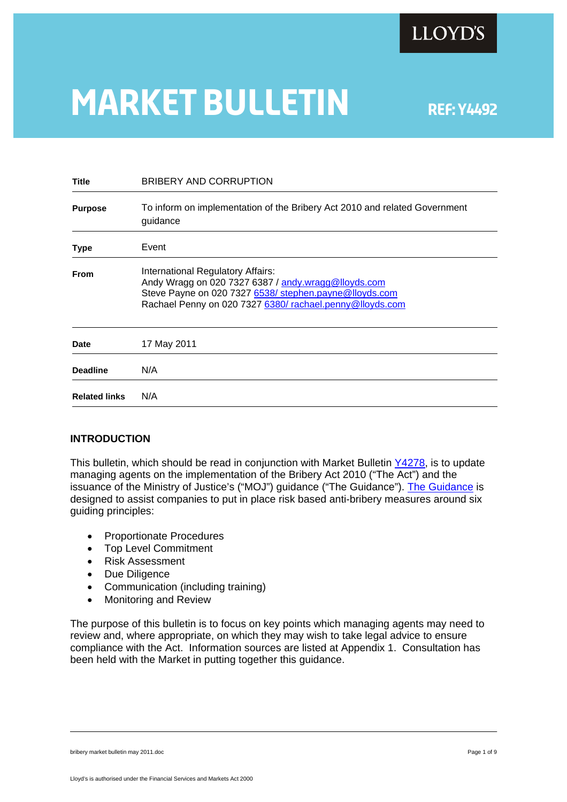

# **MARKET BULLETIN** REF: Y4492

| Title                | BRIBERY AND CORRUPTION                                                                                                                                                                                        |
|----------------------|---------------------------------------------------------------------------------------------------------------------------------------------------------------------------------------------------------------|
| <b>Purpose</b>       | To inform on implementation of the Bribery Act 2010 and related Government<br>guidance                                                                                                                        |
| Type                 | Event                                                                                                                                                                                                         |
| <b>From</b>          | International Regulatory Affairs:<br>Andy Wragg on 020 7327 6387 / andy wragg@lloyds.com<br>Steve Payne on 020 7327 6538/ stephen.payne@lloyds.com<br>Rachael Penny on 020 7327 6380/rachael.penny@lloyds.com |
| <b>Date</b>          | 17 May 2011                                                                                                                                                                                                   |
| <b>Deadline</b>      | N/A                                                                                                                                                                                                           |
| <b>Related links</b> | N/A                                                                                                                                                                                                           |
|                      |                                                                                                                                                                                                               |

# **INTRODUCTION**

This bulletin, which should be read in conjunction with Market Bulletin [Y4278,](http://www.lloyds.com/~/media/Files/The Market/Communications/Market Bulletins/Market bulletins pre 05 2010/2009/Y4278.pdf#search=) is to update managing agents on the implementation of the Bribery Act 2010 ("The Act") and the issuance of the Ministry of Justice's ("MOJ") guidance ("The Guidance"). [The Guidance](http://www.justice.gov.uk/guidance/docs/bribery-act-2010-guidance.pdf) is designed to assist companies to put in place risk based anti-bribery measures around six guiding principles:

- Proportionate Procedures
- Top Level Commitment
- Risk Assessment
- Due Diligence
- Communication (including training)
- Monitoring and Review

The purpose of this bulletin is to focus on key points which managing agents may need to review and, where appropriate, on which they may wish to take legal advice to ensure compliance with the Act. Information sources are listed at Appendix 1. Consultation has been held with the Market in putting together this guidance.

bribery market bulletin may 2011.doc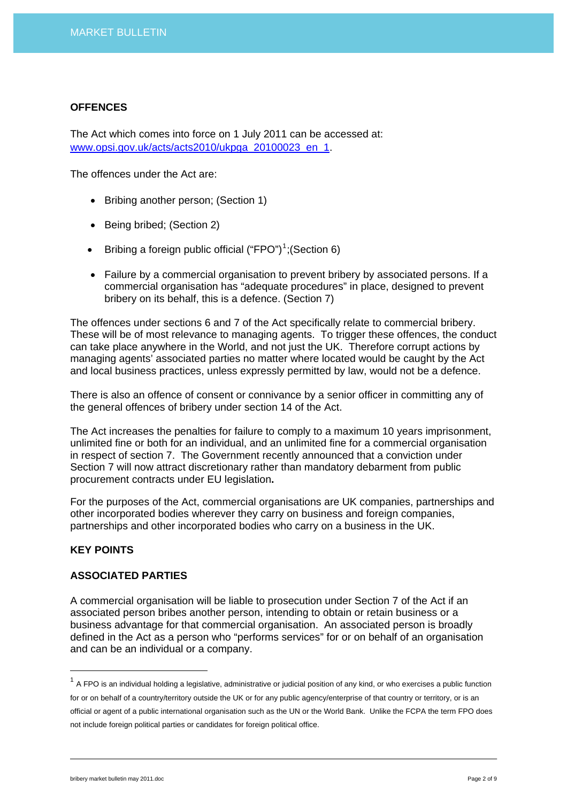#### **OFFENCES**

The Act which comes into force on 1 July 2011 can be accessed at: [www.opsi.gov.uk/acts/acts2010/ukpga\\_20100023\\_en\\_1.](http://www.opsi.gov.uk/acts/acts2010/ukpga_20100023_en_1)

The offences under the Act are:

- Bribing another person; (Section 1)
- Being bribed; (Section 2)
- Bribing a foreign public official  $("FPO")^1$  $("FPO")^1$ ; (Section 6)
- Failure by a commercial organisation to prevent bribery by associated persons. If a commercial organisation has "adequate procedures" in place, designed to prevent bribery on its behalf, this is a defence. (Section 7)

The offences under sections 6 and 7 of the Act specifically relate to commercial bribery. These will be of most relevance to managing agents. To trigger these offences, the conduct can take place anywhere in the World, and not just the UK. Therefore corrupt actions by managing agents' associated parties no matter where located would be caught by the Act and local business practices, unless expressly permitted by law, would not be a defence.

There is also an offence of consent or connivance by a senior officer in committing any of the general offences of bribery under section 14 of the Act.

The Act increases the penalties for failure to comply to a maximum 10 years imprisonment, unlimited fine or both for an individual, and an unlimited fine for a commercial organisation in respect of section 7. The Government recently announced that a conviction under Section 7 will now attract discretionary rather than mandatory debarment from public procurement contracts under EU legislation**.**

For the purposes of the Act, commercial organisations are UK companies, partnerships and other incorporated bodies wherever they carry on business and foreign companies, partnerships and other incorporated bodies who carry on a business in the UK.

#### **KEY POINTS**

 $\overline{a}$ 

#### **ASSOCIATED PARTIES**

A commercial organisation will be liable to prosecution under Section 7 of the Act if an associated person bribes another person, intending to obtain or retain business or a business advantage for that commercial organisation. An associated person is broadly defined in the Act as a person who "performs services" for or on behalf of an organisation and can be an individual or a company.

<span id="page-1-0"></span> $1$  A FPO is an individual holding a legislative, administrative or judicial position of any kind, or who exercises a public function for or on behalf of a country/territory outside the UK or for any public agency/enterprise of that country or territory, or is an official or agent of a public international organisation such as the UN or the World Bank. Unlike the FCPA the term FPO does not include foreign political parties or candidates for foreign political office.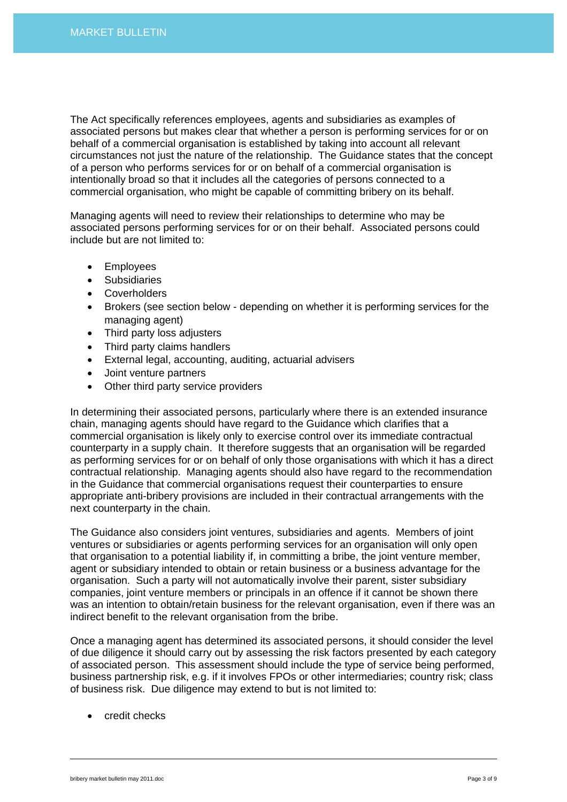The Act specifically references employees, agents and subsidiaries as examples of associated persons but makes clear that whether a person is performing services for or on behalf of a commercial organisation is established by taking into account all relevant circumstances not just the nature of the relationship. The Guidance states that the concept of a person who performs services for or on behalf of a commercial organisation is intentionally broad so that it includes all the categories of persons connected to a commercial organisation, who might be capable of committing bribery on its behalf.

Managing agents will need to review their relationships to determine who may be associated persons performing services for or on their behalf. Associated persons could include but are not limited to:

- Employees
- **Subsidiaries**
- Coverholders
- Brokers (see section below depending on whether it is performing services for the managing agent)
- Third party loss adjusters
- Third party claims handlers
- External legal, accounting, auditing, actuarial advisers
- Joint venture partners
- Other third party service providers

In determining their associated persons, particularly where there is an extended insurance chain, managing agents should have regard to the Guidance which clarifies that a commercial organisation is likely only to exercise control over its immediate contractual counterparty in a supply chain. It therefore suggests that an organisation will be regarded as performing services for or on behalf of only those organisations with which it has a direct contractual relationship. Managing agents should also have regard to the recommendation in the Guidance that commercial organisations request their counterparties to ensure appropriate anti-bribery provisions are included in their contractual arrangements with the next counterparty in the chain.

The Guidance also considers joint ventures, subsidiaries and agents. Members of joint ventures or subsidiaries or agents performing services for an organisation will only open that organisation to a potential liability if, in committing a bribe, the joint venture member, agent or subsidiary intended to obtain or retain business or a business advantage for the organisation. Such a party will not automatically involve their parent, sister subsidiary companies, joint venture members or principals in an offence if it cannot be shown there was an intention to obtain/retain business for the relevant organisation, even if there was an indirect benefit to the relevant organisation from the bribe.

Once a managing agent has determined its associated persons, it should consider the level of due diligence it should carry out by assessing the risk factors presented by each category of associated person. This assessment should include the type of service being performed, business partnership risk, e.g. if it involves FPOs or other intermediaries; country risk; class of business risk. Due diligence may extend to but is not limited to:

• credit checks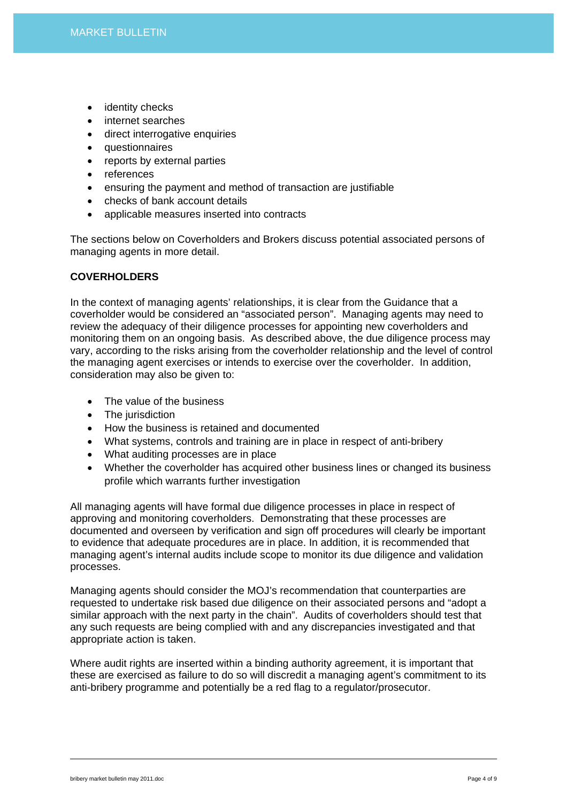- identity checks
- internet searches
- direct interrogative enquiries
- questionnaires
- reports by external parties
- references
- ensuring the payment and method of transaction are justifiable
- checks of bank account details
- applicable measures inserted into contracts

The sections below on Coverholders and Brokers discuss potential associated persons of managing agents in more detail.

# **COVERHOLDERS**

In the context of managing agents' relationships, it is clear from the Guidance that a coverholder would be considered an "associated person". Managing agents may need to review the adequacy of their diligence processes for appointing new coverholders and monitoring them on an ongoing basis. As described above, the due diligence process may vary, according to the risks arising from the coverholder relationship and the level of control the managing agent exercises or intends to exercise over the coverholder. In addition, consideration may also be given to:

- The value of the business
- The jurisdiction
- How the business is retained and documented
- What systems, controls and training are in place in respect of anti-bribery
- What auditing processes are in place
- Whether the coverholder has acquired other business lines or changed its business profile which warrants further investigation

All managing agents will have formal due diligence processes in place in respect of approving and monitoring coverholders. Demonstrating that these processes are documented and overseen by verification and sign off procedures will clearly be important to evidence that adequate procedures are in place. In addition, it is recommended that managing agent's internal audits include scope to monitor its due diligence and validation processes.

Managing agents should consider the MOJ's recommendation that counterparties are requested to undertake risk based due diligence on their associated persons and "adopt a similar approach with the next party in the chain". Audits of coverholders should test that any such requests are being complied with and any discrepancies investigated and that appropriate action is taken.

Where audit rights are inserted within a binding authority agreement, it is important that these are exercised as failure to do so will discredit a managing agent's commitment to its anti-bribery programme and potentially be a red flag to a regulator/prosecutor.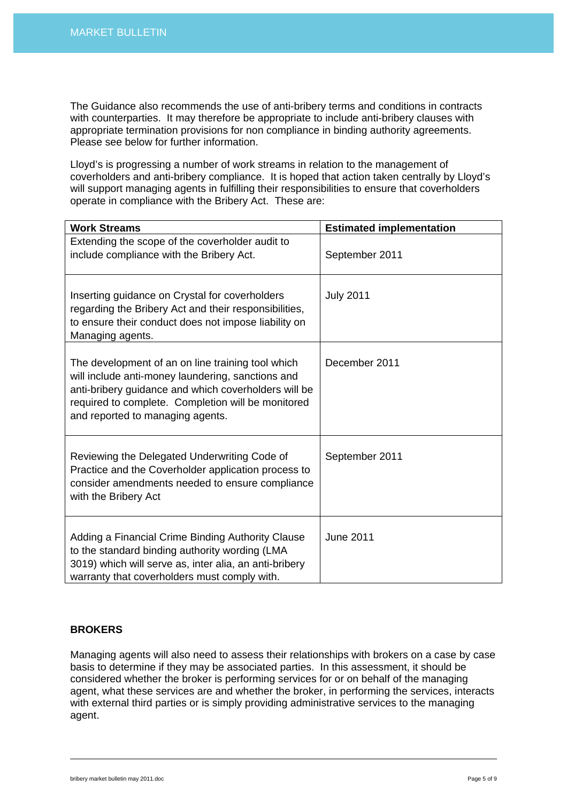The Guidance also recommends the use of anti-bribery terms and conditions in contracts with counterparties. It may therefore be appropriate to include anti-bribery clauses with appropriate termination provisions for non compliance in binding authority agreements. Please see below for further information.

Lloyd's is progressing a number of work streams in relation to the management of coverholders and anti-bribery compliance. It is hoped that action taken centrally by Lloyd's will support managing agents in fulfilling their responsibilities to ensure that coverholders operate in compliance with the Bribery Act. These are:

| <b>Work Streams</b>                                                                                                                                                                                                                                      | <b>Estimated implementation</b> |
|----------------------------------------------------------------------------------------------------------------------------------------------------------------------------------------------------------------------------------------------------------|---------------------------------|
| Extending the scope of the coverholder audit to<br>include compliance with the Bribery Act.                                                                                                                                                              | September 2011                  |
| Inserting guidance on Crystal for coverholders<br>regarding the Bribery Act and their responsibilities,<br>to ensure their conduct does not impose liability on<br>Managing agents.                                                                      | <b>July 2011</b>                |
| The development of an on line training tool which<br>will include anti-money laundering, sanctions and<br>anti-bribery guidance and which coverholders will be<br>required to complete. Completion will be monitored<br>and reported to managing agents. | December 2011                   |
| Reviewing the Delegated Underwriting Code of<br>Practice and the Coverholder application process to<br>consider amendments needed to ensure compliance<br>with the Bribery Act                                                                           | September 2011                  |
| Adding a Financial Crime Binding Authority Clause<br>to the standard binding authority wording (LMA<br>3019) which will serve as, inter alia, an anti-bribery<br>warranty that coverholders must comply with.                                            | <b>June 2011</b>                |

# **BROKERS**

Managing agents will also need to assess their relationships with brokers on a case by case basis to determine if they may be associated parties. In this assessment, it should be considered whether the broker is performing services for or on behalf of the managing agent, what these services are and whether the broker, in performing the services, interacts with external third parties or is simply providing administrative services to the managing agent.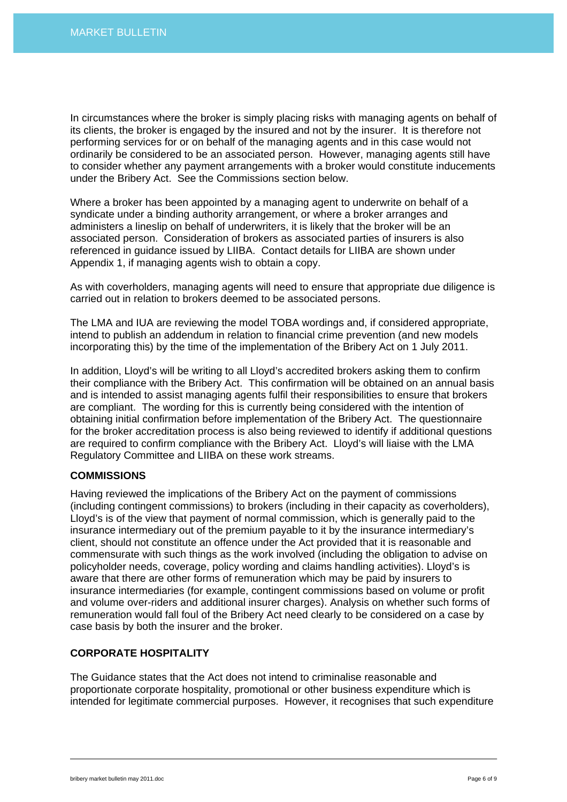In circumstances where the broker is simply placing risks with managing agents on behalf of its clients, the broker is engaged by the insured and not by the insurer. It is therefore not performing services for or on behalf of the managing agents and in this case would not ordinarily be considered to be an associated person. However, managing agents still have to consider whether any payment arrangements with a broker would constitute inducements under the Bribery Act. See the Commissions section below.

Where a broker has been appointed by a managing agent to underwrite on behalf of a syndicate under a binding authority arrangement, or where a broker arranges and administers a lineslip on behalf of underwriters, it is likely that the broker will be an associated person. Consideration of brokers as associated parties of insurers is also referenced in guidance issued by LIIBA. Contact details for LIIBA are shown under Appendix 1, if managing agents wish to obtain a copy.

As with coverholders, managing agents will need to ensure that appropriate due diligence is carried out in relation to brokers deemed to be associated persons.

The LMA and IUA are reviewing the model TOBA wordings and, if considered appropriate, intend to publish an addendum in relation to financial crime prevention (and new models incorporating this) by the time of the implementation of the Bribery Act on 1 July 2011.

In addition, Lloyd's will be writing to all Lloyd's accredited brokers asking them to confirm their compliance with the Bribery Act. This confirmation will be obtained on an annual basis and is intended to assist managing agents fulfil their responsibilities to ensure that brokers are compliant. The wording for this is currently being considered with the intention of obtaining initial confirmation before implementation of the Bribery Act. The questionnaire for the broker accreditation process is also being reviewed to identify if additional questions are required to confirm compliance with the Bribery Act. Lloyd's will liaise with the LMA Regulatory Committee and LIIBA on these work streams.

# **COMMISSIONS**

Having reviewed the implications of the Bribery Act on the payment of commissions (including contingent commissions) to brokers (including in their capacity as coverholders), Lloyd's is of the view that payment of normal commission, which is generally paid to the insurance intermediary out of the premium payable to it by the insurance intermediary's client, should not constitute an offence under the Act provided that it is reasonable and commensurate with such things as the work involved (including the obligation to advise on policyholder needs, coverage, policy wording and claims handling activities). Lloyd's is aware that there are other forms of remuneration which may be paid by insurers to insurance intermediaries (for example, contingent commissions based on volume or profit and volume over-riders and additional insurer charges). Analysis on whether such forms of remuneration would fall foul of the Bribery Act need clearly to be considered on a case by case basis by both the insurer and the broker.

#### **CORPORATE HOSPITALITY**

The Guidance states that the Act does not intend to criminalise reasonable and proportionate corporate hospitality, promotional or other business expenditure which is intended for legitimate commercial purposes. However, it recognises that such expenditure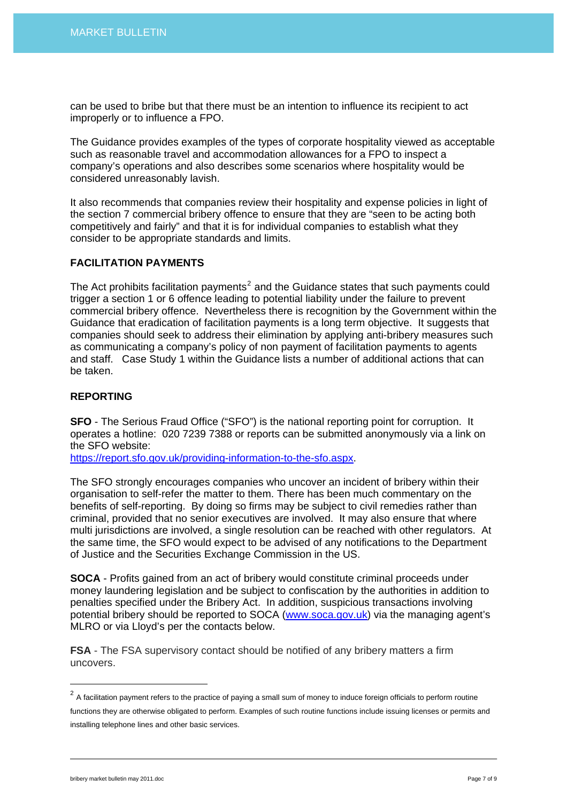can be used to bribe but that there must be an intention to influence its recipient to act improperly or to influence a FPO.

The Guidance provides examples of the types of corporate hospitality viewed as acceptable such as reasonable travel and accommodation allowances for a FPO to inspect a company's operations and also describes some scenarios where hospitality would be considered unreasonably lavish.

It also recommends that companies review their hospitality and expense policies in light of the section 7 commercial bribery offence to ensure that they are "seen to be acting both competitively and fairly" and that it is for individual companies to establish what they consider to be appropriate standards and limits.

#### **FACILITATION PAYMENTS**

The Act prohibits facilitation payments<sup>[2](#page-6-0)</sup> and the Guidance states that such payments could trigger a section 1 or 6 offence leading to potential liability under the failure to prevent commercial bribery offence. Nevertheless there is recognition by the Government within the Guidance that eradication of facilitation payments is a long term objective. It suggests that companies should seek to address their elimination by applying anti-bribery measures such as communicating a company's policy of non payment of facilitation payments to agents and staff. Case Study 1 within the Guidance lists a number of additional actions that can be taken.

#### **REPORTING**

**SFO** - The Serious Fraud Office ("SFO") is the national reporting point for corruption. It operates a hotline: 020 7239 7388 or reports can be submitted anonymously via a link on the SFO website:

[https://report.sfo.gov.uk/providing-information-to-the-sfo.aspx.](https://report.sfo.gov.uk/providing-information-to-the-sfo.aspx)

The SFO strongly encourages companies who uncover an incident of bribery within their organisation to self-refer the matter to them. There has been much commentary on the benefits of self-reporting. By doing so firms may be subject to civil remedies rather than criminal, provided that no senior executives are involved. It may also ensure that where multi jurisdictions are involved, a single resolution can be reached with other regulators. At the same time, the SFO would expect to be advised of any notifications to the Department of Justice and the Securities Exchange Commission in the US.

**SOCA** - Profits gained from an act of bribery would constitute criminal proceeds under money laundering legislation and be subject to confiscation by the authorities in addition to penalties specified under the Bribery Act. In addition, suspicious transactions involving potential bribery should be reported to SOCA ([www.soca.gov.uk\)](http://www.soca.gov.uk/) via the managing agent's MLRO or via Lloyd's per the contacts below.

**FSA** - The FSA supervisory contact should be notified of any bribery matters a firm uncovers.

<span id="page-6-0"></span> $2$  A facilitation payment refers to the practice of paying a small sum of money to induce foreign officials to perform routine

functions they are otherwise obligated to perform. Examples of such routine functions include issuing licenses or permits and installing telephone lines and other basic services.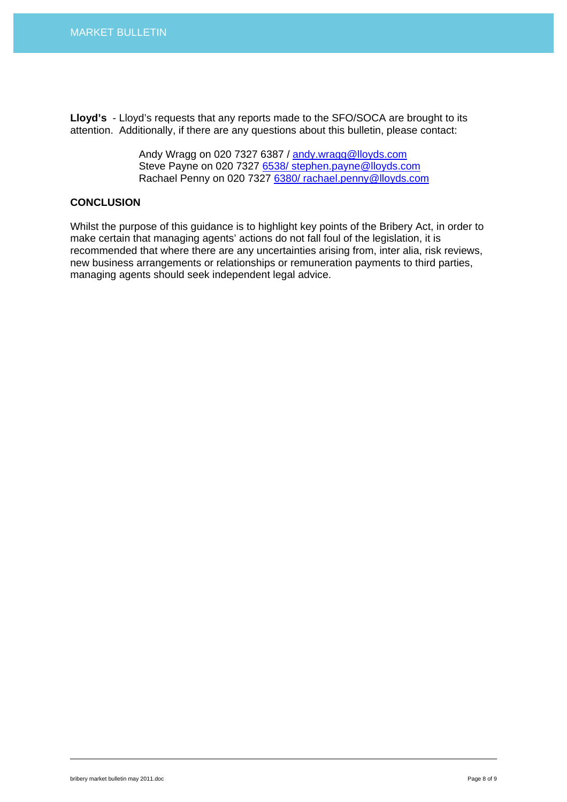**Lloyd's** - Lloyd's requests that any reports made to the SFO/SOCA are brought to its attention. Additionally, if there are any questions about this bulletin, please contact:

> Andy Wragg on 020 7327 6387 / [andy.wragg@lloyds.com](mailto:andy.wragg@lloyds.com) Steve Payne on 020 7327 [6538/ stephen.payne@lloyds.com](mailto:6538/%20stephen.payne@lloyds.com) Rachael Penny on 020 7327 [6380/ rachael.penny@lloyds.com](mailto:6380/%20rachael.penny@lloyds.com)

# **CONCLUSION**

Whilst the purpose of this guidance is to highlight key points of the Bribery Act, in order to make certain that managing agents' actions do not fall foul of the legislation, it is recommended that where there are any uncertainties arising from, inter alia, risk reviews, new business arrangements or relationships or remuneration payments to third parties, managing agents should seek independent legal advice.